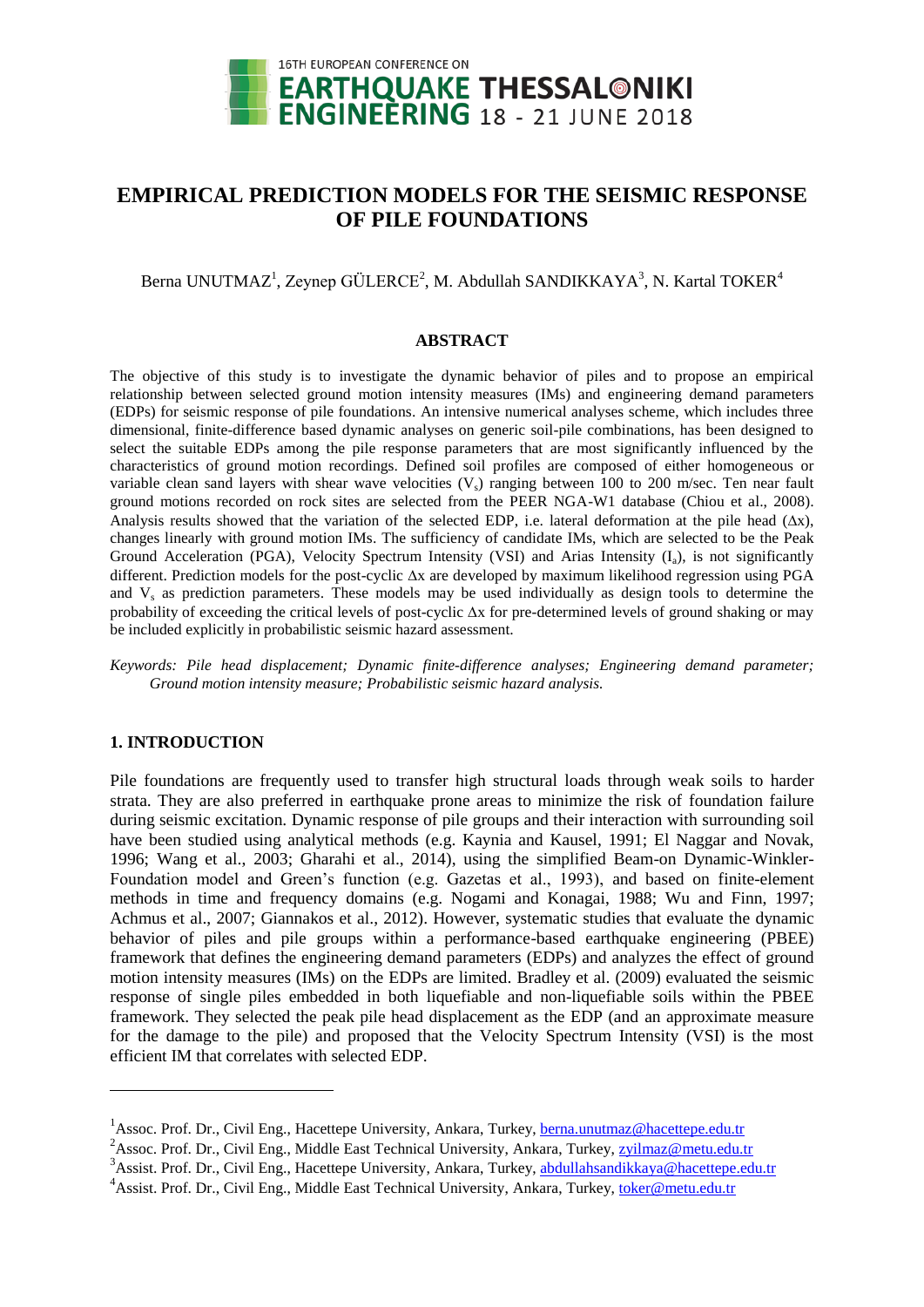

# **EMPIRICAL PREDICTION MODELS FOR THE SEISMIC RESPONSE OF PILE FOUNDATIONS**

# Berna UNUTMAZ<sup>1</sup>, Zeynep GÜLERCE<sup>2</sup>, M. Abdullah SANDIKKAYA<sup>3</sup>, N. Kartal TOKER<sup>4</sup>

#### **ABSTRACT**

The objective of this study is to investigate the dynamic behavior of piles and to propose an empirical relationship between selected ground motion intensity measures (IMs) and engineering demand parameters (EDPs) for seismic response of pile foundations. An intensive numerical analyses scheme, which includes three dimensional, finite-difference based dynamic analyses on generic soil-pile combinations, has been designed to select the suitable EDPs among the pile response parameters that are most significantly influenced by the characteristics of ground motion recordings. Defined soil profiles are composed of either homogeneous or variable clean sand layers with shear wave velocities  $(V_s)$  ranging between 100 to 200 m/sec. Ten near fault ground motions recorded on rock sites are selected from the PEER NGA-W1 database (Chiou et al., 2008). Analysis results showed that the variation of the selected EDP, i.e. lateral deformation at the pile head  $(\Delta x)$ , changes linearly with ground motion IMs. The sufficiency of candidate IMs, which are selected to be the Peak Ground Acceleration (PGA), Velocity Spectrum Intensity (VSI) and Arias Intensity (I<sub>a</sub>), is not significantly different. Prediction models for the post-cyclic  $\Delta x$  are developed by maximum likelihood regression using PGA and  $V_s$  as prediction parameters. These models may be used individually as design tools to determine the probability of exceeding the critical levels of post-cyclic  $\Delta x$  for pre-determined levels of ground shaking or may be included explicitly in probabilistic seismic hazard assessment.

*Keywords: Pile head displacement; Dynamic finite-difference analyses; Engineering demand parameter; Ground motion intensity measure; Probabilistic seismic hazard analysis.*

## **1. INTRODUCTION**

 $\overline{a}$ 

Pile foundations are frequently used to transfer high structural loads through weak soils to harder strata. They are also preferred in earthquake prone areas to minimize the risk of foundation failure during seismic excitation. Dynamic response of pile groups and their interaction with surrounding soil have been studied using analytical methods (e.g. Kaynia and Kausel, 1991; El Naggar and Novak, 1996; Wang et al., 2003; Gharahi et al., 2014), using the simplified Beam-on Dynamic-Winkler-Foundation model and Green's function (e.g. Gazetas et al., 1993), and based on finite-element methods in time and frequency domains (e.g. Nogami and Konagai, 1988; Wu and Finn, 1997; Achmus et al., 2007; Giannakos et al., 2012). However, systematic studies that evaluate the dynamic behavior of piles and pile groups within a performance-based earthquake engineering (PBEE) framework that defines the engineering demand parameters (EDPs) and analyzes the effect of ground motion intensity measures (IMs) on the EDPs are limited. Bradley et al. (2009) evaluated the seismic response of single piles embedded in both liquefiable and non-liquefiable soils within the PBEE framework. They selected the peak pile head displacement as the EDP (and an approximate measure for the damage to the pile) and proposed that the Velocity Spectrum Intensity (VSI) is the most efficient IM that correlates with selected EDP.

<sup>&</sup>lt;sup>1</sup> Assoc. Prof. Dr., Civil Eng., Hacettepe University, Ankara, Turkey, berna.unutmaz@hacettepe.edu.tr

<sup>&</sup>lt;sup>2</sup>Assoc. Prof. Dr., Civil Eng., Middle East Technical University, Ankara, Turkey, [zyilmaz@metu.edu.tr](mailto:zyilmaz@metu.edu.tr)

<sup>&</sup>lt;sup>3</sup> Assist. Prof. Dr., Civil Eng., Hacettepe University, Ankara, Turkey, [abdullahsandikkaya@hacettepe.edu.tr](mailto:abdullahsandikkaya@hacettepe.edu.tr)

<sup>&</sup>lt;sup>4</sup> Assist. Prof. Dr., Civil Eng., Middle East Technical University, Ankara, Turkey, [toker@metu.edu.tr](mailto:toker@metu.edu.tr)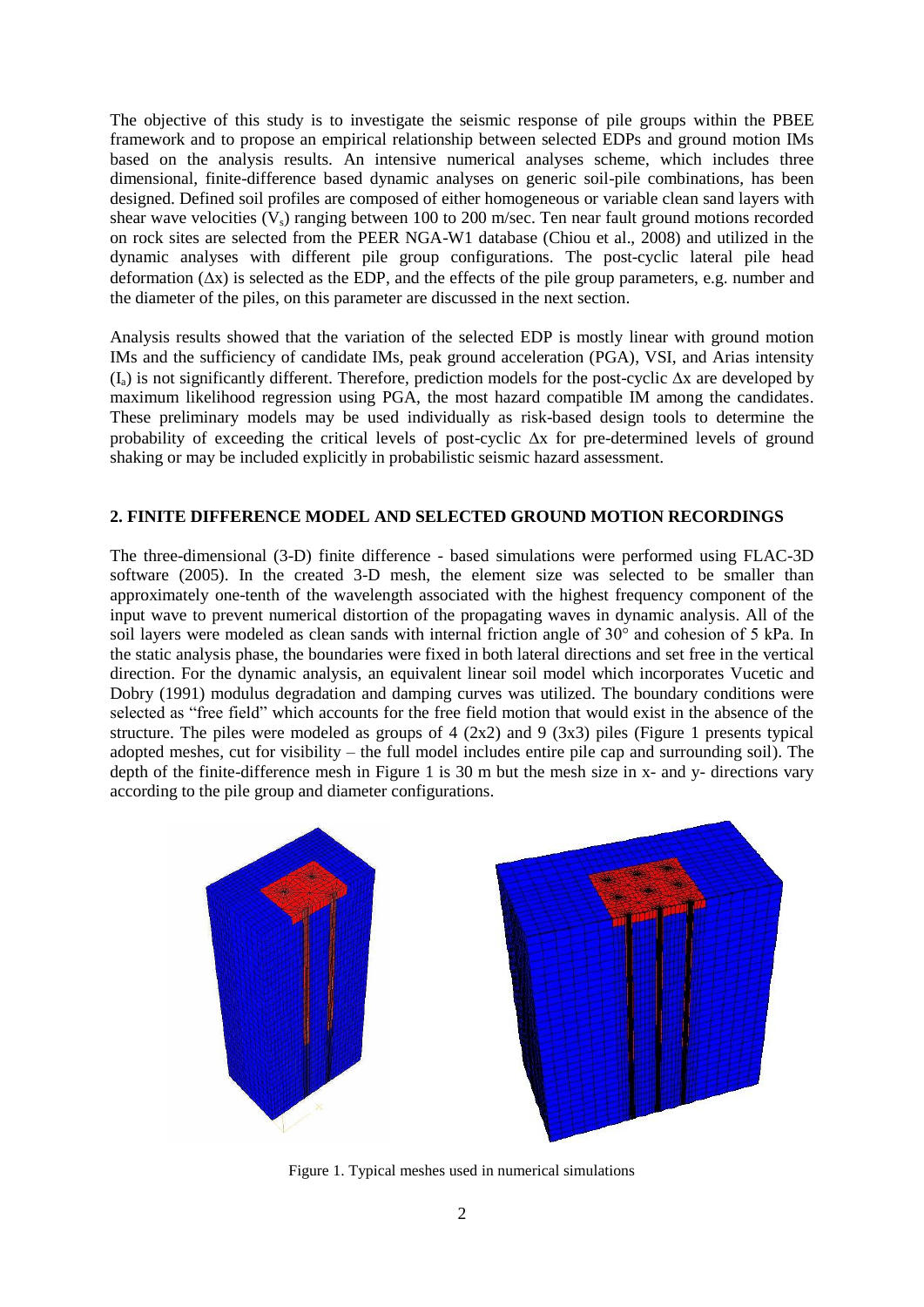The objective of this study is to investigate the seismic response of pile groups within the PBEE framework and to propose an empirical relationship between selected EDPs and ground motion IMs based on the analysis results. An intensive numerical analyses scheme, which includes three dimensional, finite-difference based dynamic analyses on generic soil-pile combinations, has been designed. Defined soil profiles are composed of either homogeneous or variable clean sand layers with shear wave velocities  $(V_s)$  ranging between 100 to 200 m/sec. Ten near fault ground motions recorded on rock sites are selected from the PEER NGA-W1 database (Chiou et al., 2008) and utilized in the dynamic analyses with different pile group configurations. The post-cyclic lateral pile head deformation  $(\Delta x)$  is selected as the EDP, and the effects of the pile group parameters, e.g. number and the diameter of the piles, on this parameter are discussed in the next section.

Analysis results showed that the variation of the selected EDP is mostly linear with ground motion IMs and the sufficiency of candidate IMs, peak ground acceleration (PGA), VSI, and Arias intensity  $(I_4)$  is not significantly different. Therefore, prediction models for the post-cyclic  $\Delta x$  are developed by maximum likelihood regression using PGA, the most hazard compatible IM among the candidates. These preliminary models may be used individually as risk-based design tools to determine the probability of exceeding the critical levels of post-cyclic  $\Delta x$  for pre-determined levels of ground shaking or may be included explicitly in probabilistic seismic hazard assessment.

## **2. FINITE DIFFERENCE MODEL AND SELECTED GROUND MOTION RECORDINGS**

The three-dimensional (3-D) finite difference - based simulations were performed using FLAC-3D software (2005). In the created 3-D mesh, the element size was selected to be smaller than approximately one-tenth of the wavelength associated with the highest frequency component of the input wave to prevent numerical distortion of the propagating waves in dynamic analysis. All of the soil layers were modeled as clean sands with internal friction angle of 30° and cohesion of 5 kPa. In the static analysis phase, the boundaries were fixed in both lateral directions and set free in the vertical direction. For the dynamic analysis, an equivalent linear soil model which incorporates Vucetic and Dobry (1991) modulus degradation and damping curves was utilized. The boundary conditions were selected as "free field" which accounts for the free field motion that would exist in the absence of the structure. The piles were modeled as groups of 4 (2x2) and 9 (3x3) piles (Figure 1 presents typical adopted meshes, cut for visibility – the full model includes entire pile cap and surrounding soil). The depth of the finite-difference mesh in Figure 1 is 30 m but the mesh size in x- and y- directions vary according to the pile group and diameter configurations.



Figure 1. Typical meshes used in numerical simulations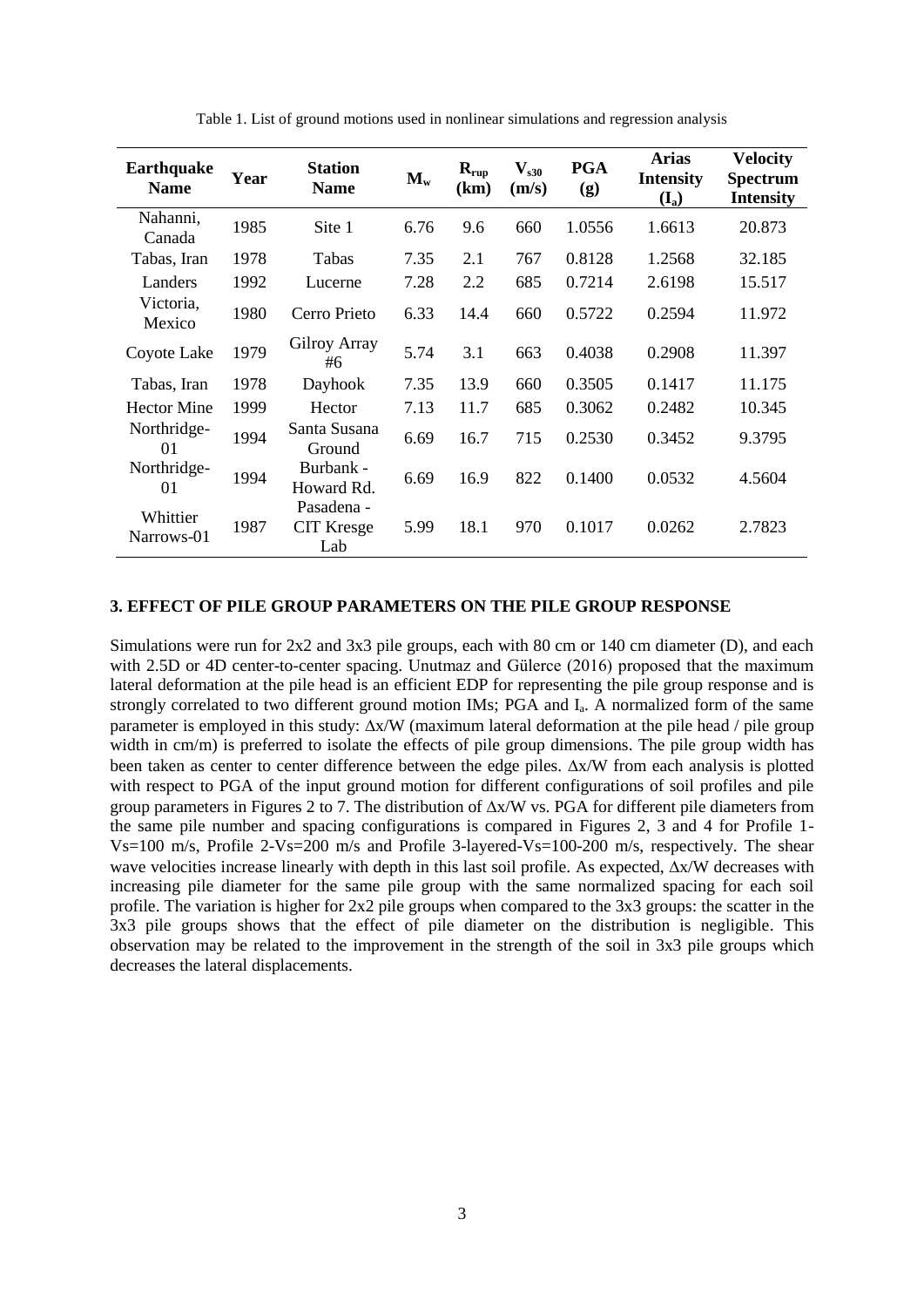| <b>Earthquake</b><br><b>Name</b> | Year | <b>Station</b><br><b>Name</b>          | $\mathbf{M}_{\mathbf{w}}$ | $R_{rup}$<br>(km) | $\mathbf{V}_{\mathbf{s30}}$<br>(m/s) | <b>PGA</b><br>(g) | <b>Arias</b><br><b>Intensity</b><br>$(I_a)$ | <b>Velocity</b><br><b>Spectrum</b><br><b>Intensity</b> |
|----------------------------------|------|----------------------------------------|---------------------------|-------------------|--------------------------------------|-------------------|---------------------------------------------|--------------------------------------------------------|
| Nahanni,<br>Canada               | 1985 | Site 1                                 | 6.76                      | 9.6               | 660                                  | 1.0556            | 1.6613                                      | 20.873                                                 |
| Tabas, Iran                      | 1978 | Tabas                                  | 7.35                      | 2.1               | 767                                  | 0.8128            | 1.2568                                      | 32.185                                                 |
| Landers                          | 1992 | Lucerne                                | 7.28                      | 2.2               | 685                                  | 0.7214            | 2.6198                                      | 15.517                                                 |
| Victoria,<br>Mexico              | 1980 | Cerro Prieto                           | 6.33                      | 14.4              | 660                                  | 0.5722            | 0.2594                                      | 11.972                                                 |
| Coyote Lake                      | 1979 | Gilroy Array<br>#6                     | 5.74                      | 3.1               | 663                                  | 0.4038            | 0.2908                                      | 11.397                                                 |
| Tabas, Iran                      | 1978 | Dayhook                                | 7.35                      | 13.9              | 660                                  | 0.3505            | 0.1417                                      | 11.175                                                 |
| <b>Hector Mine</b>               | 1999 | Hector                                 | 7.13                      | 11.7              | 685                                  | 0.3062            | 0.2482                                      | 10.345                                                 |
| Northridge-<br>01                | 1994 | Santa Susana<br>Ground                 | 6.69                      | 16.7              | 715                                  | 0.2530            | 0.3452                                      | 9.3795                                                 |
| Northridge-<br>01                | 1994 | Burbank -<br>Howard Rd.                | 6.69                      | 16.9              | 822                                  | 0.1400            | 0.0532                                      | 4.5604                                                 |
| Whittier<br>Narrows-01           | 1987 | Pasadena -<br><b>CIT Kresge</b><br>Lab | 5.99                      | 18.1              | 970                                  | 0.1017            | 0.0262                                      | 2.7823                                                 |

Table 1. List of ground motions used in nonlinear simulations and regression analysis

# **3. EFFECT OF PILE GROUP PARAMETERS ON THE PILE GROUP RESPONSE**

Simulations were run for 2x2 and 3x3 pile groups, each with 80 cm or 140 cm diameter (D), and each with 2.5D or 4D center-to-center spacing. Unutmaz and Gülerce (2016) proposed that the maximum lateral deformation at the pile head is an efficient EDP for representing the pile group response and is strongly correlated to two different ground motion IMs; PGA and I<sub>a</sub>. A normalized form of the same parameter is employed in this study:  $\Delta x/W$  (maximum lateral deformation at the pile head / pile group width in cm/m) is preferred to isolate the effects of pile group dimensions. The pile group width has been taken as center to center difference between the edge piles.  $\Delta x/W$  from each analysis is plotted with respect to PGA of the input ground motion for different configurations of soil profiles and pile group parameters in Figures 2 to 7. The distribution of  $\Delta x/W$  vs. PGA for different pile diameters from the same pile number and spacing configurations is compared in Figures 2, 3 and 4 for Profile 1- Vs=100 m/s, Profile 2-Vs=200 m/s and Profile 3-layered-Vs=100-200 m/s, respectively. The shear wave velocities increase linearly with depth in this last soil profile. As expected,  $\Delta x/W$  decreases with increasing pile diameter for the same pile group with the same normalized spacing for each soil profile. The variation is higher for 2x2 pile groups when compared to the 3x3 groups: the scatter in the 3x3 pile groups shows that the effect of pile diameter on the distribution is negligible. This observation may be related to the improvement in the strength of the soil in 3x3 pile groups which decreases the lateral displacements.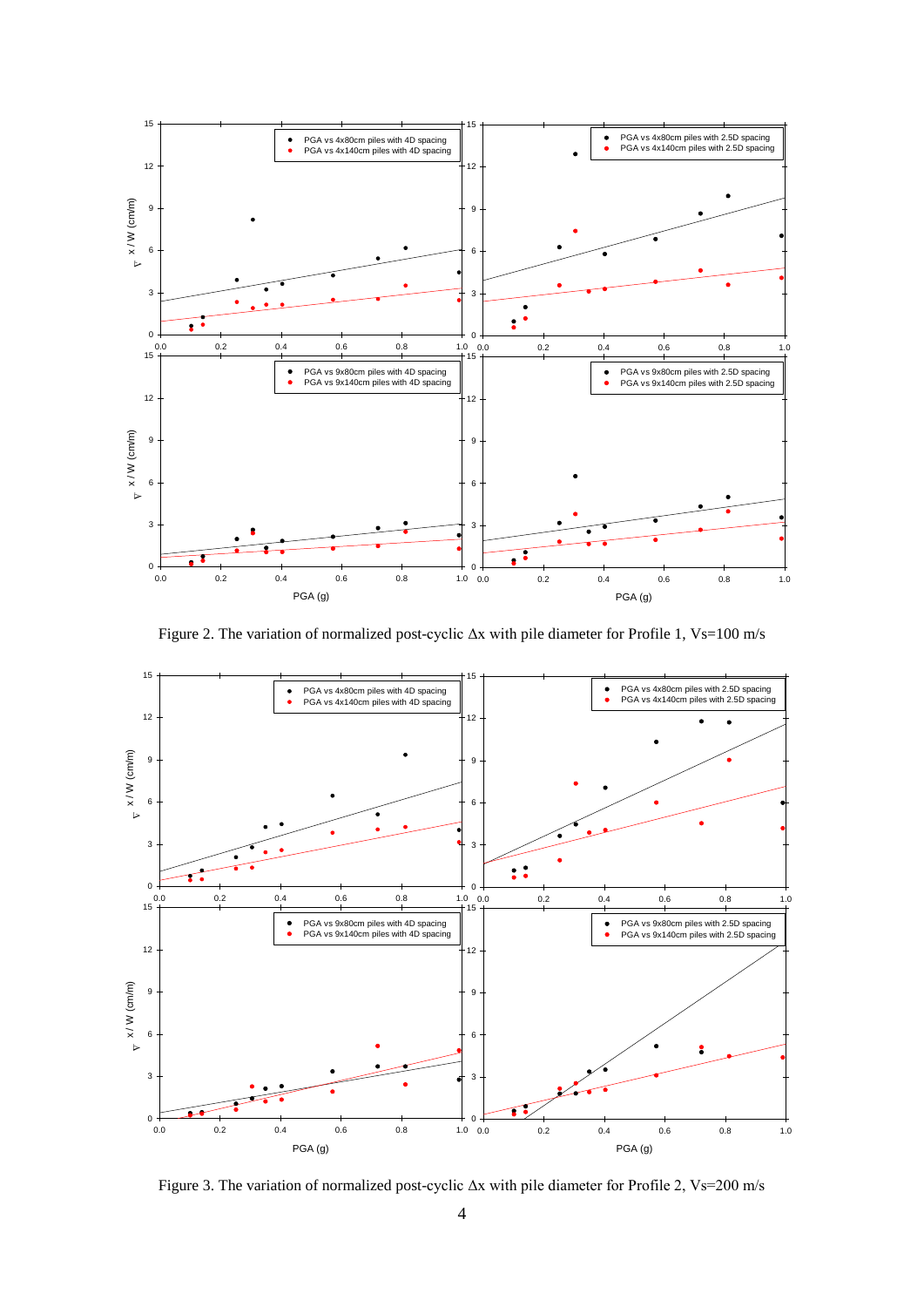

Figure 2. The variation of normalized post-cyclic Δx with pile diameter for Profile 1, Vs=100 m/s



Figure 3. The variation of normalized post-cyclic Δx with pile diameter for Profile 2, Vs=200 m/s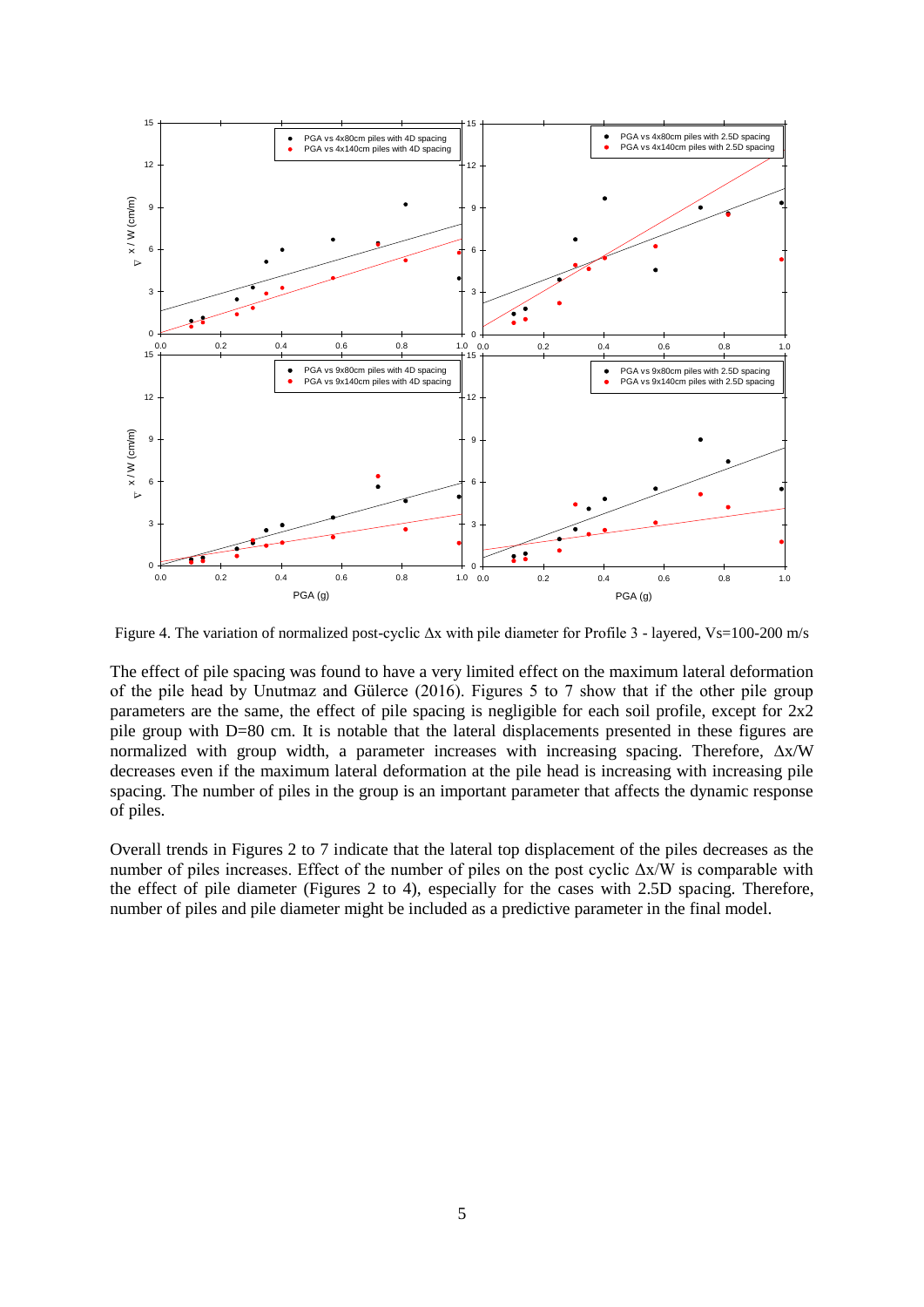

Figure 4. The variation of normalized post-cyclic  $\Delta x$  with pile diameter for Profile 3 - layered, Vs=100-200 m/s

The effect of pile spacing was found to have a very limited effect on the maximum lateral deformation of the pile head by Unutmaz and Gülerce (2016). Figures 5 to 7 show that if the other pile group parameters are the same, the effect of pile spacing is negligible for each soil profile, except for 2x2 pile group with D=80 cm. It is notable that the lateral displacements presented in these figures are normalized with group width, a parameter increases with increasing spacing. Therefore,  $\Delta x/W$ decreases even if the maximum lateral deformation at the pile head is increasing with increasing pile spacing. The number of piles in the group is an important parameter that affects the dynamic response of piles.

Overall trends in Figures 2 to 7 indicate that the lateral top displacement of the piles decreases as the number of piles increases. Effect of the number of piles on the post cyclic Δx/W is comparable with the effect of pile diameter (Figures 2 to 4), especially for the cases with 2.5D spacing. Therefore, number of piles and pile diameter might be included as a predictive parameter in the final model.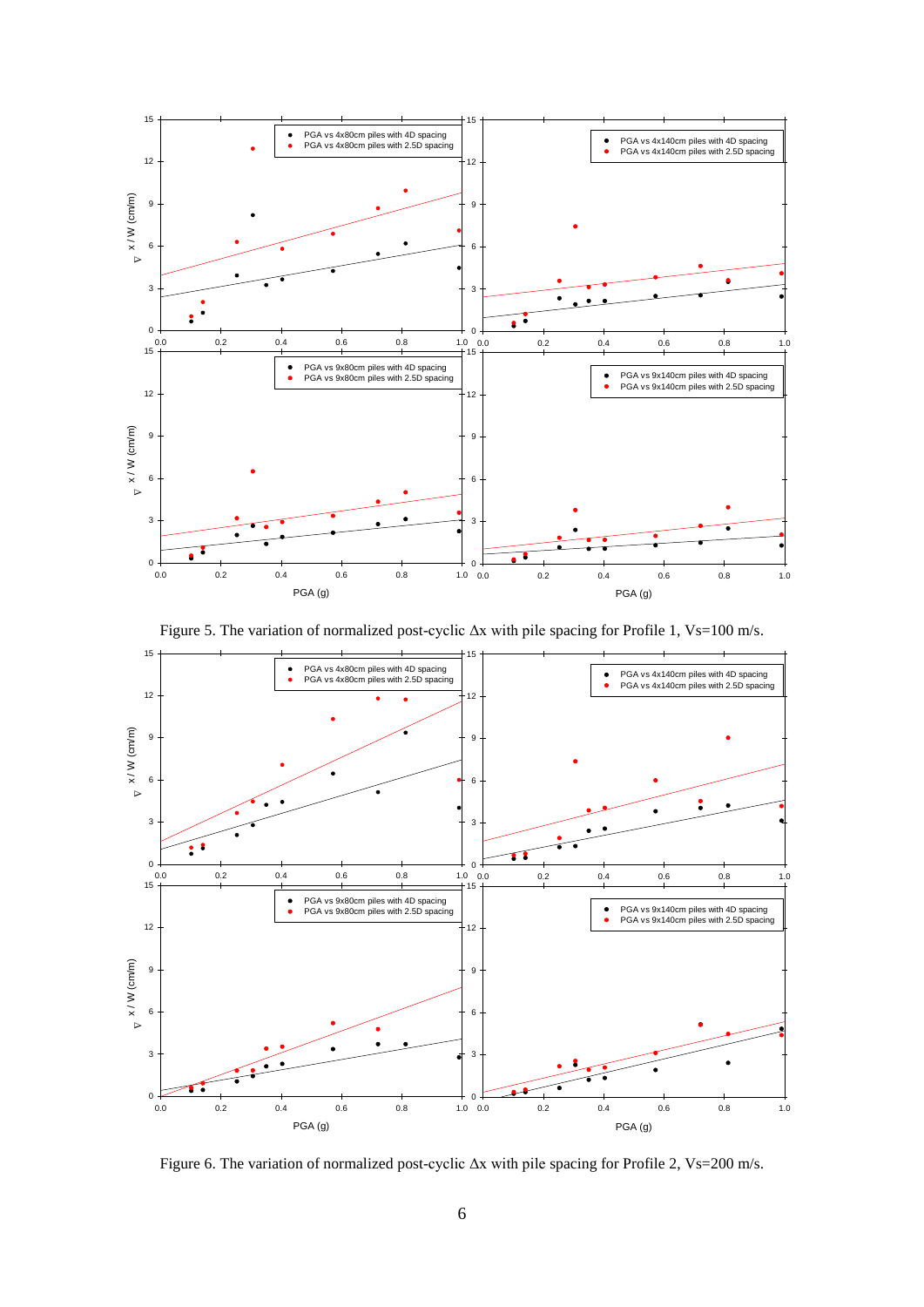

Figure 5. The variation of normalized post-cyclic Δx with pile spacing for Profile 1, Vs=100 m/s.



Figure 6. The variation of normalized post-cyclic Δx with pile spacing for Profile 2, Vs=200 m/s.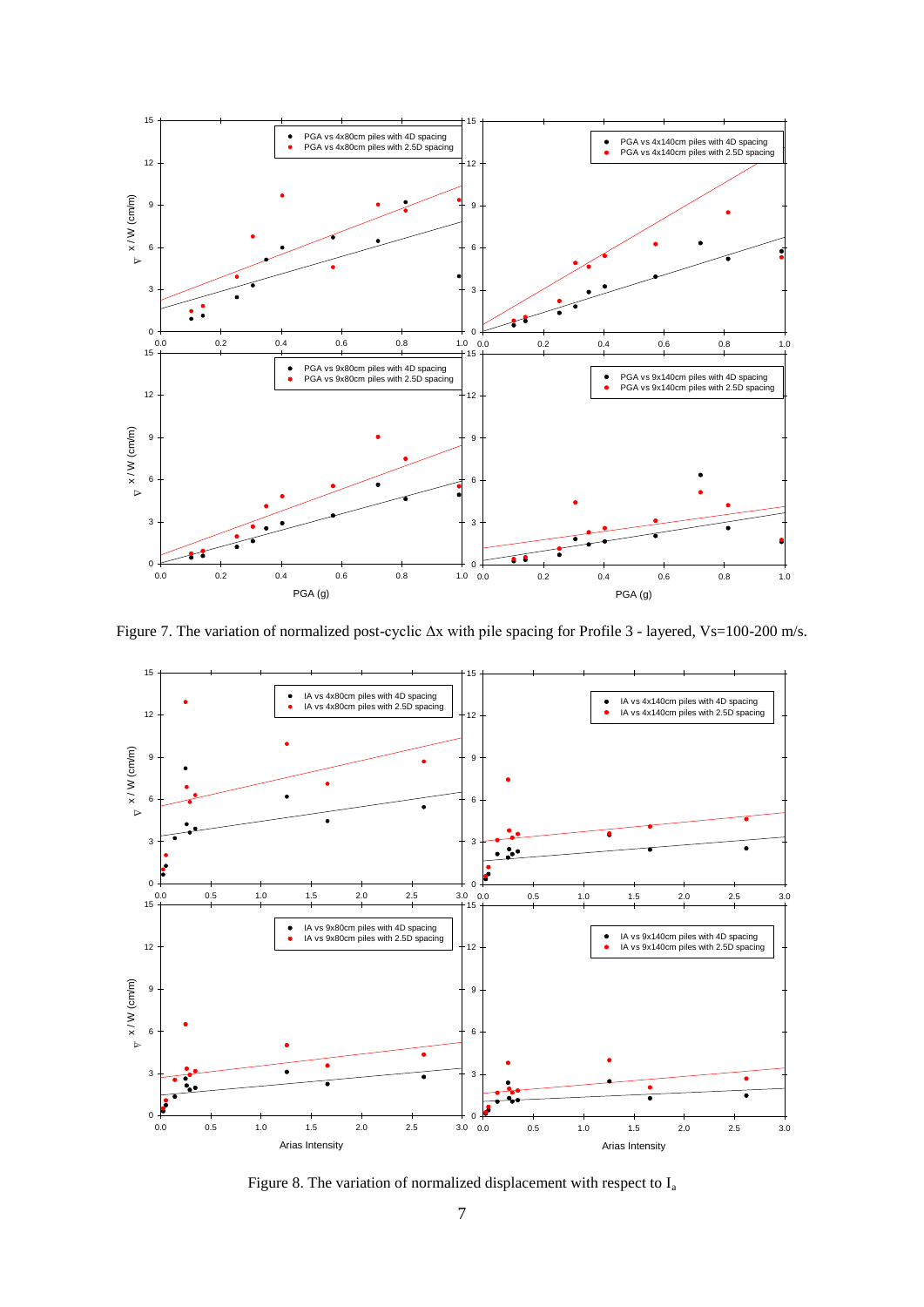

Figure 7. The variation of normalized post-cyclic Δx with pile spacing for Profile 3 - layered, Vs=100-200 m/s.



Figure 8. The variation of normalized displacement with respect to Ia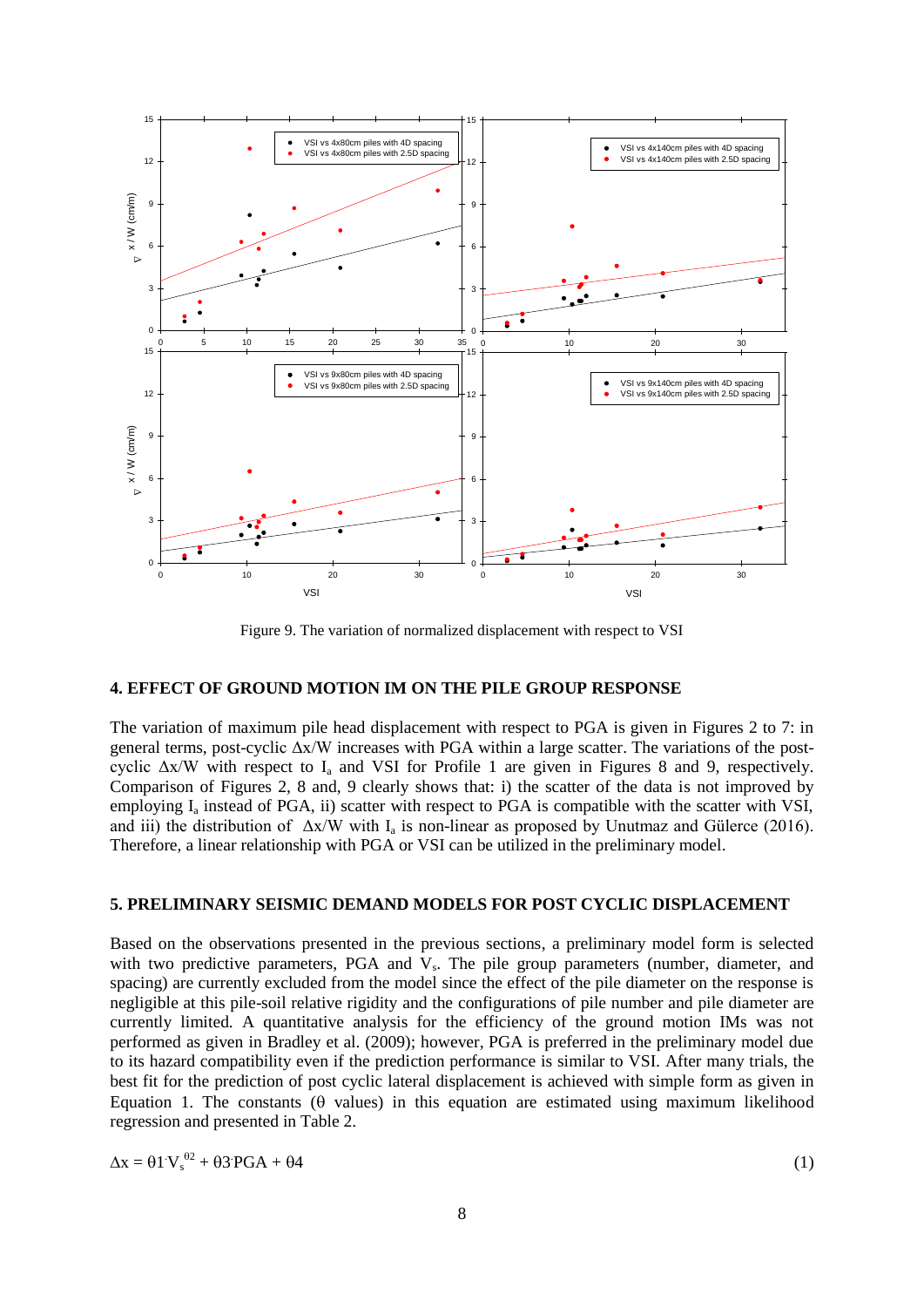

Figure 9. The variation of normalized displacement with respect to VSI

### **4. EFFECT OF GROUND MOTION IM ON THE PILE GROUP RESPONSE**

The variation of maximum pile head displacement with respect to PGA is given in Figures 2 to 7: in general terms, post-cyclic Δx/W increases with PGA within a large scatter. The variations of the postcyclic  $\Delta x/W$  with respect to I<sub>a</sub> and VSI for Profile 1 are given in Figures 8 and 9, respectively. Comparison of Figures 2, 8 and, 9 clearly shows that: i) the scatter of the data is not improved by employing  $I_a$  instead of PGA, ii) scatter with respect to PGA is compatible with the scatter with VSI, and iii) the distribution of  $\Delta x/W$  with  $I_a$  is non-linear as proposed by Unutmaz and Gülerce (2016). Therefore, a linear relationship with PGA or VSI can be utilized in the preliminary model.

#### **5. PRELIMINARY SEISMIC DEMAND MODELS FOR POST CYCLIC DISPLACEMENT**

Based on the observations presented in the previous sections, a preliminary model form is selected with two predictive parameters, PGA and V<sub>s</sub>. The pile group parameters (number, diameter, and spacing) are currently excluded from the model since the effect of the pile diameter on the response is negligible at this pile-soil relative rigidity and the configurations of pile number and pile diameter are currently limited. A quantitative analysis for the efficiency of the ground motion IMs was not performed as given in Bradley et al. (2009); however, PGA is preferred in the preliminary model due to its hazard compatibility even if the prediction performance is similar to VSI. After many trials, the best fit for the prediction of post cyclic lateral displacement is achieved with simple form as given in Equation 1. The constants  $(\theta$  values) in this equation are estimated using maximum likelihood regression and presented in Table 2.

$$
\Delta x = \theta \, 1 \, V_s^{\theta 2} + \theta \, 3 \, PGA + \theta \, 4 \tag{1}
$$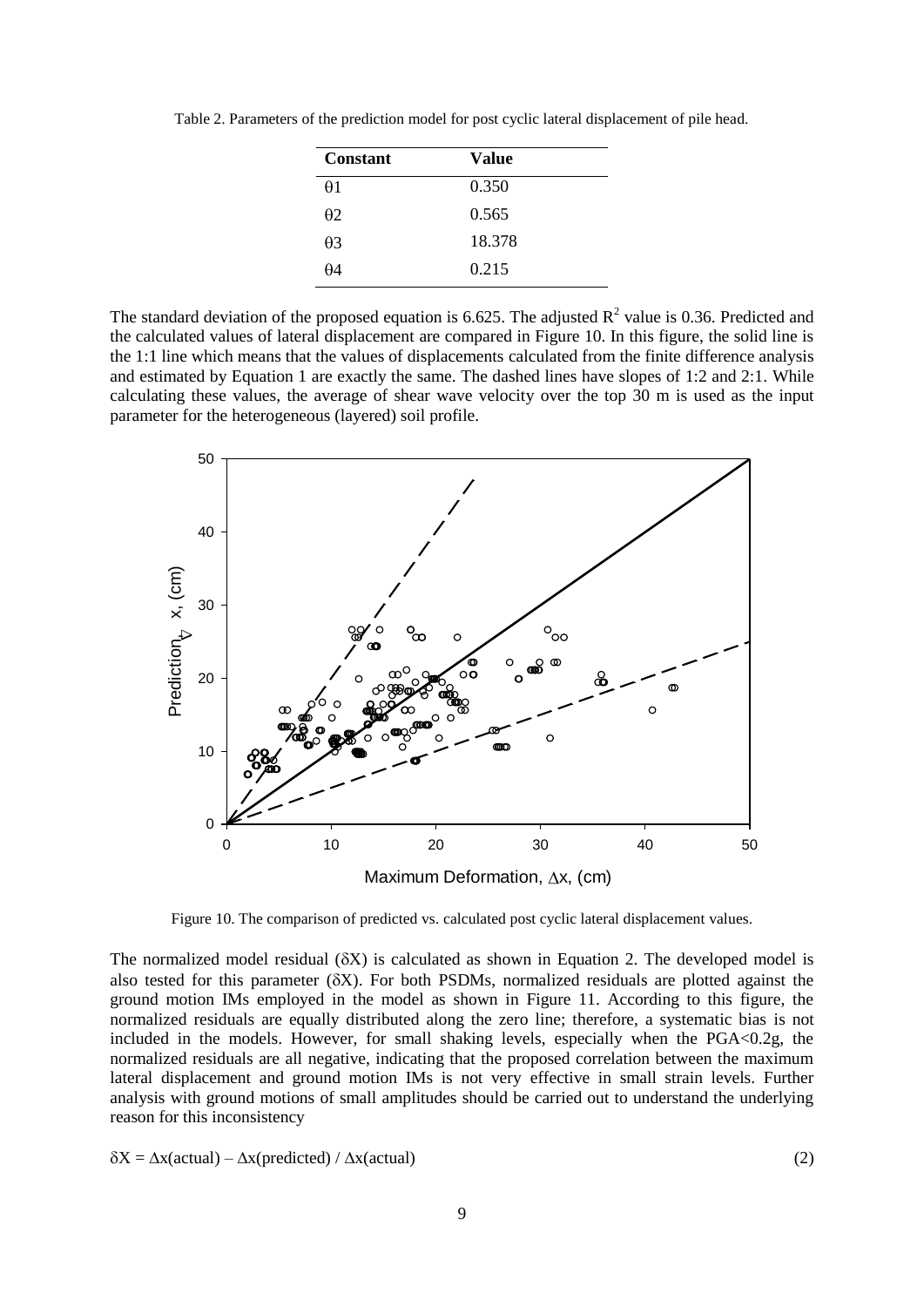Table 2. Parameters of the prediction model for post cyclic lateral displacement of pile head.

| Constant   | Value  |  |
|------------|--------|--|
| $\theta$ 1 | 0.350  |  |
| $\theta$ 2 | 0.565  |  |
| $\theta$ 3 | 18.378 |  |
| θ4         | 0.215  |  |
|            |        |  |

The standard deviation of the proposed equation is 6.625. The adjusted  $R^2$  value is 0.36. Predicted and the calculated values of lateral displacement are compared in Figure 10. In this figure, the solid line is the 1:1 line which means that the values of displacements calculated from the finite difference analysis and estimated by Equation 1 are exactly the same. The dashed lines have slopes of 1:2 and 2:1. While calculating these values, the average of shear wave velocity over the top 30 m is used as the input parameter for the heterogeneous (layered) soil profile.



Figure 10. The comparison of predicted vs. calculated post cyclic lateral displacement values.

The normalized model residual  $(\delta X)$  is calculated as shown in Equation 2. The developed model is also tested for this parameter  $(\delta X)$ . For both PSDMs, normalized residuals are plotted against the ground motion IMs employed in the model as shown in Figure 11. According to this figure, the normalized residuals are equally distributed along the zero line; therefore, a systematic bias is not included in the models. However, for small shaking levels, especially when the  $PGA<0.2g$ , the normalized residuals are all negative, indicating that the proposed correlation between the maximum lateral displacement and ground motion IMs is not very effective in small strain levels. Further analysis with ground motions of small amplitudes should be carried out to understand the underlying reason for this inconsistency

$$
\delta X = \Delta x(\text{actual}) - \Delta x(\text{predicted}) / \Delta x(\text{actual})
$$
\n(2)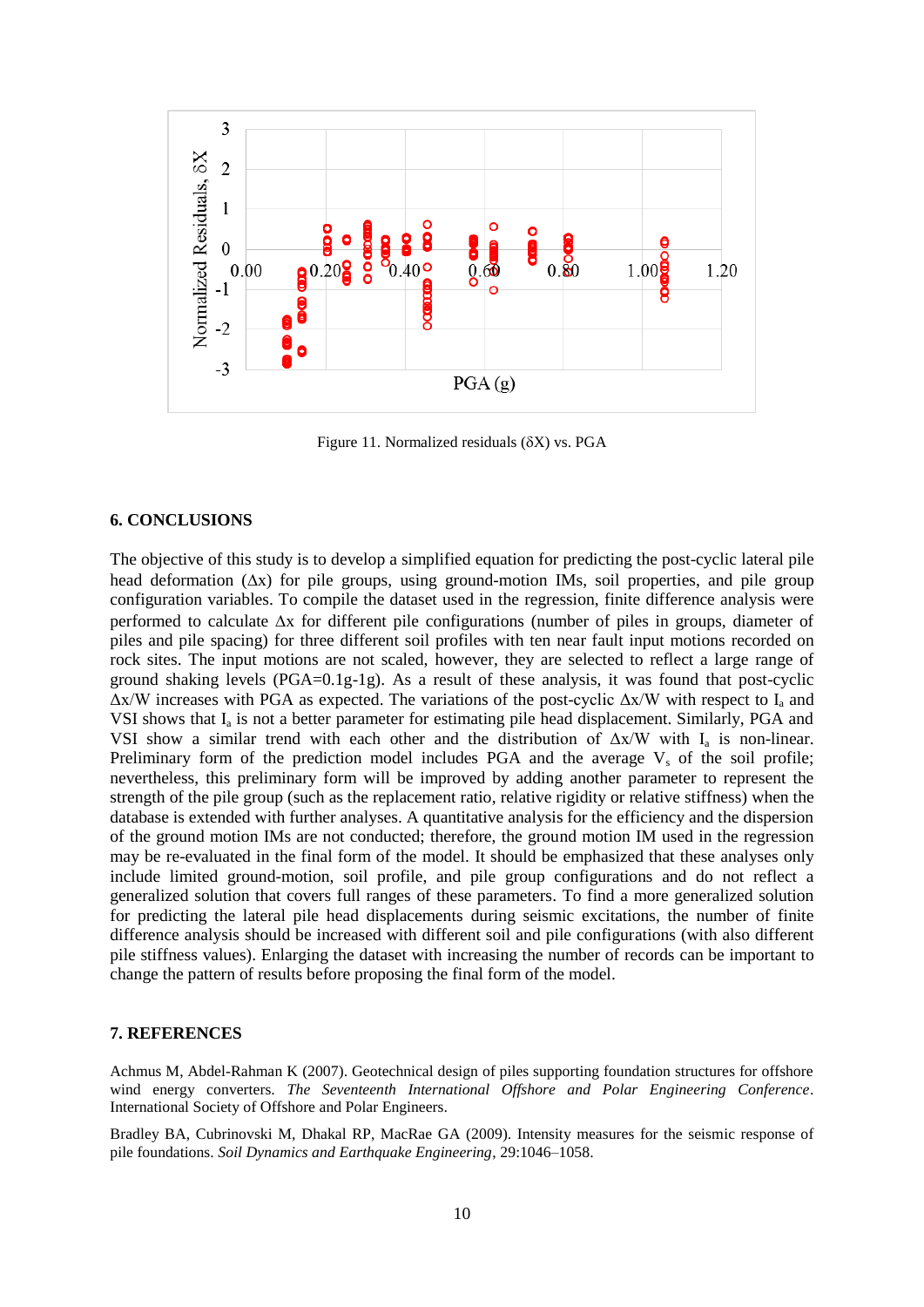

Figure 11. Normalized residuals  $(\delta X)$  vs. PGA

### **6. CONCLUSIONS**

The objective of this study is to develop a simplified equation for predicting the post-cyclic lateral pile head deformation  $(\Delta x)$  for pile groups, using ground-motion IMs, soil properties, and pile group configuration variables. To compile the dataset used in the regression, finite difference analysis were performed to calculate  $\Delta x$  for different pile configurations (number of piles in groups, diameter of piles and pile spacing) for three different soil profiles with ten near fault input motions recorded on rock sites. The input motions are not scaled, however, they are selected to reflect a large range of ground shaking levels  $(PGA=0.1g-1g)$ . As a result of these analysis, it was found that post-cyclic  $\Delta x/W$  increases with PGA as expected. The variations of the post-cyclic  $\Delta x/W$  with respect to I<sub>a</sub> and VSI shows that I<sub>a</sub> is not a better parameter for estimating pile head displacement. Similarly, PGA and VSI show a similar trend with each other and the distribution of  $\Delta x/W$  with I<sub>a</sub> is non-linear. Preliminary form of the prediction model includes PGA and the average  $V_s$  of the soil profile; nevertheless, this preliminary form will be improved by adding another parameter to represent the strength of the pile group (such as the replacement ratio, relative rigidity or relative stiffness) when the database is extended with further analyses. A quantitative analysis for the efficiency and the dispersion of the ground motion IMs are not conducted; therefore, the ground motion IM used in the regression may be re-evaluated in the final form of the model. It should be emphasized that these analyses only include limited ground-motion, soil profile, and pile group configurations and do not reflect a generalized solution that covers full ranges of these parameters. To find a more generalized solution for predicting the lateral pile head displacements during seismic excitations, the number of finite difference analysis should be increased with different soil and pile configurations (with also different pile stiffness values). Enlarging the dataset with increasing the number of records can be important to change the pattern of results before proposing the final form of the model.

#### **7. REFERENCES**

Achmus M, Abdel-Rahman K (2007). Geotechnical design of piles supporting foundation structures for offshore wind energy converters. *The Seventeenth International Offshore and Polar Engineering Conference*. International Society of Offshore and Polar Engineers.

Bradley BA, Cubrinovski M, Dhakal RP, MacRae GA (2009). Intensity measures for the seismic response of pile foundations. *Soil Dynamics and Earthquake Engineering*, 29:1046–1058.